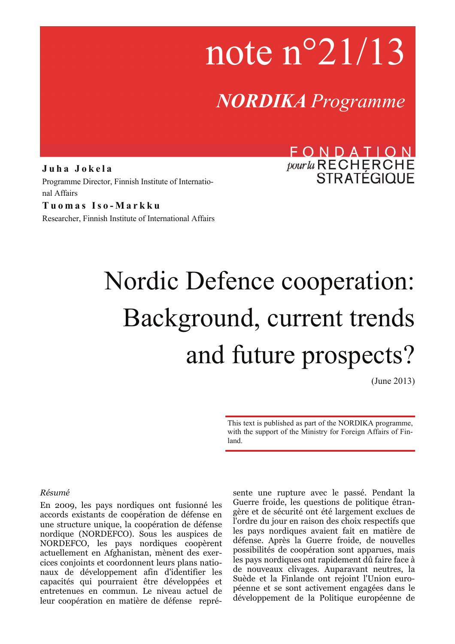# note n°21/13

*NORDIKA Programme*

**Juha Jokela**  Programme Director, Finnish Institute of International Affairs

**Tuomas Iso-Markku**  Researcher, Finnish Institute of International Affairs

## FONDATION *pour la* RECHERCHE

# Nordic Defence cooperation: Background, current trends and future prospects?

(June 2013)

This text is published as part of the NORDIKA programme, with the support of the Ministry for Foreign Affairs of Finland.

#### *Résumé*

En 2009, les pays nordiques ont fusionné les accords existants de coopération de défense en une structure unique, la coopération de défense nordique (NORDEFCO). Sous les auspices de NORDEFCO, les pays nordiques coopèrent actuellement en Afghanistan, mènent des exercices conjoints et coordonnent leurs plans nationaux de développement afin d'identifier les capacités qui pourraient être développées et entretenues en commun. Le niveau actuel de leur coopération en matière de défense représente une rupture avec le passé. Pendant la Guerre froide, les questions de politique étrangère et de sécurité ont été largement exclues de l'ordre du jour en raison des choix respectifs que les pays nordiques avaient fait en matière de défense. Après la Guerre froide, de nouvelles possibilités de coopération sont apparues, mais les pays nordiques ont rapidement dû faire face à de nouveaux clivages. Auparavant neutres, la Suède et la Finlande ont rejoint l'Union européenne et se sont activement engagées dans le développement de la Politique européenne de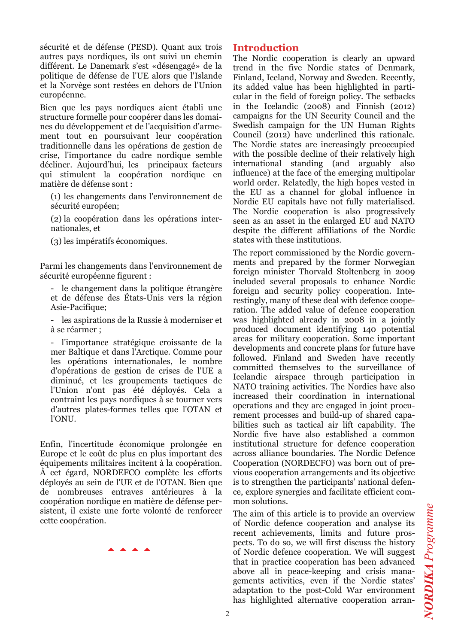sécurité et de défense (PESD). Quant aux trois autres pays nordiques, ils ont suivi un chemin différent. Le Danemark s'est «désengagé» de la politique de défense de l'UE alors que l'Islande et la Norvège sont restées en dehors de l'Union européenne.

Bien que les pays nordiques aient établi une structure formelle pour coopérer dans les domaines du développement et de l'acquisition d'armement tout en poursuivant leur coopération traditionnelle dans les opérations de gestion de crise, l'importance du cadre nordique semble décliner. Aujourd'hui, les principaux facteurs qui stimulent la coopération nordique en matière de défense sont :

(1) les changements dans l'environnement de sécurité européen;

(2) la coopération dans les opérations internationales, et

(3) les impératifs économiques.

Parmi les changements dans l'environnement de sécurité européenne figurent :

- le changement dans la politique étrangère et de défense des États-Unis vers la région Asie-Pacifique;

- les aspirations de la Russie à moderniser et à se réarmer ;

- l'importance stratégique croissante de la mer Baltique et dans l'Arctique. Comme pour les opérations internationales, le nombre d'opérations de gestion de crises de l'UE a diminué, et les groupements tactiques de l'Union n'ont pas été déployés. Cela a contraint les pays nordiques à se tourner vers d'autres plates-formes telles que l'OTAN et l'ONU.

Enfin, l'incertitude économique prolongée en Europe et le coût de plus en plus important des équipements militaires incitent à la coopération. À cet égard, NORDEFCO complète les efforts déployés au sein de l'UE et de l'OTAN. Bien que de nombreuses entraves antérieures à la coopération nordique en matière de défense persistent, il existe une forte volonté de renforcer cette coopération.

aaaa

#### **Introduction**

The Nordic cooperation is clearly an upward trend in the five Nordic states of Denmark, Finland, Iceland, Norway and Sweden. Recently, its added value has been highlighted in particular in the field of foreign policy. The setbacks in the Icelandic (2008) and Finnish (2012) campaigns for the UN Security Council and the Swedish campaign for the UN Human Rights Council (2012) have underlined this rationale. The Nordic states are increasingly preoccupied with the possible decline of their relatively high international standing (and arguably also influence) at the face of the emerging multipolar world order. Relatedly, the high hopes vested in the EU as a channel for global influence in Nordic EU capitals have not fully materialised. The Nordic cooperation is also progressively seen as an asset in the enlarged EU and NATO despite the different affiliations of the Nordic states with these institutions.

The report commissioned by the Nordic governments and prepared by the former Norwegian foreign minister Thorvald Stoltenberg in 2009 included several proposals to enhance Nordic foreign and security policy cooperation. Interestingly, many of these deal with defence cooperation. The added value of defence cooperation was highlighted already in 2008 in a jointly produced document identifying 140 potential areas for military cooperation. Some important developments and concrete plans for future have followed. Finland and Sweden have recently committed themselves to the surveillance of Icelandic airspace through participation in NATO training activities. The Nordics have also increased their coordination in international operations and they are engaged in joint procurement processes and build-up of shared capabilities such as tactical air lift capability. The Nordic five have also established a common institutional structure for defence cooperation across alliance boundaries. The Nordic Defence Cooperation (NORDECFO) was born out of previous cooperation arrangements and its objective is to strengthen the participants' national defence, explore synergies and facilitate efficient common solutions.

The aim of this article is to provide an overview of Nordic defence cooperation and analyse its recent achievements, limits and future prospects. To do so, we will first discuss the history of Nordic defence cooperation. We will suggest that in practice cooperation has been advanced above all in peace-keeping and crisis managements activities, even if the Nordic states' adaptation to the post-Cold War environment has highlighted alternative cooperation arran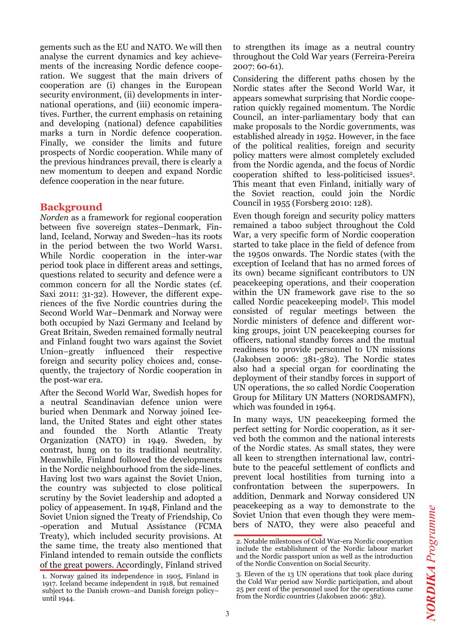gements such as the EU and NATO. We will then analyse the current dynamics and key achievements of the increasing Nordic defence cooperation. We suggest that the main drivers of cooperation are (i) changes in the European security environment, (ii) developments in international operations, and (iii) economic imperatives. Further, the current emphasis on retaining and developing (national) defence capabilities marks a turn in Nordic defence cooperation. Finally, we consider the limits and future prospects of Nordic cooperation. While many of the previous hindrances prevail, there is clearly a new momentum to deepen and expand Nordic defence cooperation in the near future.

#### **Background**

*Norden* as a framework for regional cooperation between five sovereign states–Denmark, Finland, Iceland, Norway and Sweden–has its roots in the period between the two World Wars1. While Nordic cooperation in the inter-war period took place in different areas and settings, questions related to security and defence were a common concern for all the Nordic states (cf. Saxi 2011: 31-32). However, the different experiences of the five Nordic countries during the Second World War–Denmark and Norway were both occupied by Nazi Germany and Iceland by Great Britain, Sweden remained formally neutral and Finland fought two wars against the Soviet Union–greatly influenced their respective foreign and security policy choices and, consequently, the trajectory of Nordic cooperation in the post-war era.

After the Second World War, Swedish hopes for a neutral Scandinavian defence union were buried when Denmark and Norway joined Iceland, the United States and eight other states and founded the North Atlantic Treaty Organization (NATO) in 1949. Sweden, by contrast, hung on to its traditional neutrality. Meanwhile, Finland followed the developments in the Nordic neighbourhood from the side-lines. Having lost two wars against the Soviet Union, the country was subjected to close political scrutiny by the Soviet leadership and adopted a policy of appeasement. In 1948, Finland and the Soviet Union signed the Treaty of Friendship, Co -operation and Mutual Assistance (FCMA Treaty), which included security provisions. At the same time, the treaty also mentioned that Finland intended to remain outside the conflicts of the great powers. Accordingly, Finland strived

to strengthen its image as a neutral country throughout the Cold War years (Ferreira-Pereira 2007: 60-61).

Considering the different paths chosen by the Nordic states after the Second World War, it appears somewhat surprising that Nordic cooperation quickly regained momentum. The Nordic Council, an inter-parliamentary body that can make proposals to the Nordic governments, was established already in 1952. However, in the face of the political realities, foreign and security policy matters were almost completely excluded from the Nordic agenda, and the focus of Nordic cooperation shifted to less-politicised issues2. This meant that even Finland, initially wary of the Soviet reaction, could join the Nordic Council in 1955 (Forsberg 2010: 128).

Even though foreign and security policy matters remained a taboo subject throughout the Cold War, a very specific form of Nordic cooperation started to take place in the field of defence from the 1950s onwards. The Nordic states (with the exception of Iceland that has no armed forces of its own) became significant contributors to UN peacekeeping operations, and their cooperation within the UN framework gave rise to the so called Nordic peace keeping models. This model consisted of regular meetings between the Nordic ministers of defence and different working groups, joint UN peacekeeping courses for officers, national standby forces and the mutual readiness to provide personnel to UN missions (Jakobsen 2006: 381-382). The Nordic states also had a special organ for coordinating the deployment of their standby forces in support of UN operations, the so called Nordic Cooperation Group for Military UN Matters (NORDSAMFN), which was founded in 1964.

In many ways, UN peacekeeping formed the perfect setting for Nordic cooperation, as it served both the common and the national interests of the Nordic states. As small states, they were all keen to strengthen international law, contribute to the peaceful settlement of conflicts and prevent local hostilities from turning into a confrontation between the superpowers. In addition, Denmark and Norway considered UN peacekeeping as a way to demonstrate to the Soviet Union that even though they were members of NATO, they were also peaceful and

<sup>1.</sup> Norway gained its independence in 1905, Finland in 1917. Iceland became independent in 1918, but remained subject to the Danish crown–and Danish foreign policy– until 1944.

<sup>2.</sup> Notable milestones of Cold War-era Nordic cooperation include the establishment of the Nordic labour market and the Nordic passport union as well as the introduction of the Nordic Convention on Social Security.

<sup>3.</sup> Eleven of the 13 UN operations that took place during the Cold War period saw Nordic participation, and about 25 per cent of the personnel used for the operations came from the Nordic countries (Jakobsen 2006: 382).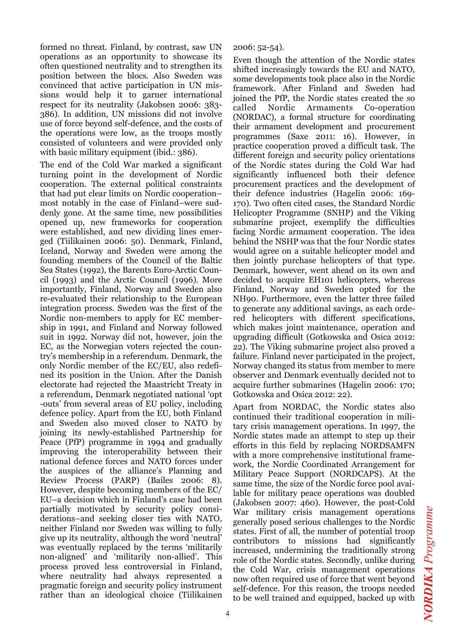formed no threat. Finland, by contrast, saw UN operations as an opportunity to showcase its often questioned neutrality and to strengthen its position between the blocs. Also Sweden was convinced that active participation in UN missions would help it to garner international respect for its neutrality (Jakobsen 2006: 383- 386). In addition, UN missions did not involve use of force beyond self-defence, and the costs of the operations were low, as the troops mostly consisted of volunteers and were provided only with basic military equipment (ibid.: 386).

The end of the Cold War marked a significant turning point in the development of Nordic cooperation. The external political constraints that had put clear limits on Nordic cooperation– most notably in the case of Finland–were suddenly gone. At the same time, new possibilities opened up, new frameworks for cooperation were established, and new dividing lines emerged (Tiilikainen 2006: 50). Denmark, Finland, Iceland, Norway and Sweden were among the founding members of the Council of the Baltic Sea States (1992), the Barents Euro-Arctic Council (1993) and the Arctic Council (1996). More importantly, Finland, Norway and Sweden also re-evaluated their relationship to the European integration process. Sweden was the first of the Nordic non-members to apply for EC membership in 1991, and Finland and Norway followed suit in 1992. Norway did not, however, join the EC, as the Norwegian voters rejected the country's membership in a referendum. Denmark, the only Nordic member of the EC/EU, also redefined its position in the Union. After the Danish electorate had rejected the Maastricht Treaty in a referendum, Denmark negotiated national 'opt -outs' from several areas of EU policy, including defence policy. Apart from the EU, both Finland and Sweden also moved closer to NATO by joining its newly-established Partnership for Peace (PfP) programme in 1994 and gradually improving the interoperability between their national defence forces and NATO forces under the auspices of the alliance's Planning and Review Process (PARP) (Bailes 2006: 8). However, despite becoming members of the EC/ EU–a decision which in Finland's case had been partially motivated by security policy considerations–and seeking closer ties with NATO, neither Finland nor Sweden was willing to fully give up its neutrality, although the word 'neutral' was eventually replaced by the terms 'militarily non-aligned' and 'militarily non-allied'. This process proved less controversial in Finland, where neutrality had always represented a pragmatic foreign and security policy instrument rather than an ideological choice (Tiilikainen

2006: 52-54).

Even though the attention of the Nordic states shifted increasingly towards the EU and NATO, some developments took place also in the Nordic framework. After Finland and Sweden had joined the PfP, the Nordic states created the so called Nordic Armaments Co-operation (NORDAC), a formal structure for coordinating their armament development and procurement programmes (Saxe 2011: 16). However, in practice cooperation proved a difficult task. The different foreign and security policy orientations of the Nordic states during the Cold War had significantly influenced both their defence procurement practices and the development of their defence industries (Hagelin 2006: 169- 170). Two often cited cases, the Standard Nordic Helicopter Programme (SNHP) and the Viking submarine project, exemplify the difficulties facing Nordic armament cooperation. The idea behind the NSHP was that the four Nordic states would agree on a suitable helicopter model and then jointly purchase helicopters of that type. Denmark, however, went ahead on its own and decided to acquire EH101 helicopters, whereas Finland, Norway and Sweden opted for the NH90. Furthermore, even the latter three failed to generate any additional savings, as each ordered helicopters with different specifications, which makes joint maintenance, operation and upgrading difficult (Gotkowska and Osica 2012: 22). The Viking submarine project also proved a failure. Finland never participated in the project, Norway changed its status from member to mere observer and Denmark eventually decided not to acquire further submarines (Hagelin 2006: 170; Gotkowska and Osica 2012: 22).

Apart from NORDAC, the Nordic states also continued their traditional cooperation in military crisis management operations. In 1997, the Nordic states made an attempt to step up their efforts in this field by replacing NORDSAMFN with a more comprehensive institutional framework, the Nordic Coordinated Arrangement for Military Peace Support (NORDCAPS). At the same time, the size of the Nordic force pool available for military peace operations was doubled (Jakobsen 2007: 460). However, the post-Cold War military crisis management operations generally posed serious challenges to the Nordic states. First of all, the number of potential troop contributors to missions had significantly increased, undermining the traditionally strong role of the Nordic states. Secondly, unlike during the Cold War, crisis management operations now often required use of force that went beyond self-defence. For this reason, the troops needed to be well trained and equipped, backed up with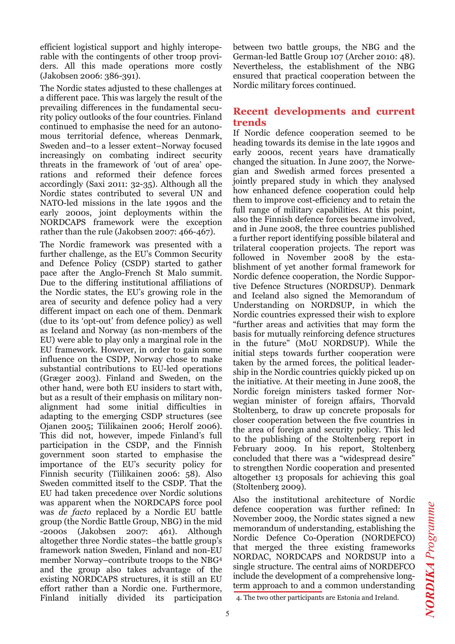efficient logistical support and highly interoperable with the contingents of other troop providers. All this made operations more costly (Jakobsen 2006: 386-391).

The Nordic states adjusted to these challenges at a different pace. This was largely the result of the prevailing differences in the fundamental security policy outlooks of the four countries. Finland continued to emphasise the need for an autonomous territorial defence, whereas Denmark, Sweden and–to a lesser extent–Norway focused increasingly on combating indirect security threats in the framework of 'out of area' operations and reformed their defence forces accordingly (Saxi 2011: 32-35). Although all the Nordic states contributed to several UN and NATO-led missions in the late 1990s and the early 2000s, joint deployments within the NORDCAPS framework were the exception rather than the rule (Jakobsen 2007: 466-467).

The Nordic framework was presented with a further challenge, as the EU's Common Security and Defence Policy (CSDP) started to gather pace after the Anglo-French St Malo summit. Due to the differing institutional affiliations of the Nordic states, the EU's growing role in the area of security and defence policy had a very different impact on each one of them. Denmark (due to its 'opt-out' from defence policy) as well as Iceland and Norway (as non-members of the EU) were able to play only a marginal role in the EU framework. However, in order to gain some influence on the CSDP, Norway chose to make substantial contributions to EU-led operations (Græger 2003). Finland and Sweden, on the other hand, were both EU insiders to start with, but as a result of their emphasis on military nonalignment had some initial difficulties in adapting to the emerging CSDP structures (see Ojanen 2005; Tiilikainen 2006; Herolf 2006). This did not, however, impede Finland's full participation in the CSDP, and the Finnish government soon started to emphasise the importance of the EU's security policy for Finnish security (Tiilikainen 2006: 58). Also Sweden committed itself to the CSDP. That the EU had taken precedence over Nordic solutions was apparent when the NORDCAPS force pool was *de facto* replaced by a Nordic EU battle group (the Nordic Battle Group, NBG) in the mid -2000s (Jakobsen 2007: 461). Although altogether three Nordic states–the battle group's framework nation Sweden, Finland and non-EU member Norway–contribute troops to the NBG4 and the group also takes advantage of the existing NORDCAPS structures, it is still an EU effort rather than a Nordic one. Furthermore, Finland initially divided its participation

between two battle groups, the NBG and the German-led Battle Group 107 (Archer 2010: 48). Nevertheless, the establishment of the NBG ensured that practical cooperation between the Nordic military forces continued.

#### **Recent developments and current trends**

If Nordic defence cooperation seemed to be heading towards its demise in the late 1990s and early 2000s, recent years have dramatically changed the situation. In June 2007, the Norwegian and Swedish armed forces presented a jointly prepared study in which they analysed how enhanced defence cooperation could help them to improve cost-efficiency and to retain the full range of military capabilities. At this point, also the Finnish defence forces became involved, and in June 2008, the three countries published a further report identifying possible bilateral and trilateral cooperation projects. The report was followed in November 2008 by the establishment of yet another formal framework for Nordic defence cooperation, the Nordic Supportive Defence Structures (NORDSUP). Denmark and Iceland also signed the Memorandum of Understanding on NORDSUP, in which the Nordic countries expressed their wish to explore "further areas and activities that may form the basis for mutually reinforcing defence structures in the future" (MoU NORDSUP). While the initial steps towards further cooperation were taken by the armed forces, the political leadership in the Nordic countries quickly picked up on the initiative. At their meeting in June 2008, the Nordic foreign ministers tasked former Norwegian minister of foreign affairs, Thorvald Stoltenberg, to draw up concrete proposals for closer cooperation between the five countries in the area of foreign and security policy. This led to the publishing of the Stoltenberg report in February 2009. In his report, Stoltenberg concluded that there was a "widespread desire" to strengthen Nordic cooperation and presented altogether 13 proposals for achieving this goal (Stoltenberg 2009).

Also the institutional architecture of Nordic defence cooperation was further refined: In November 2009, the Nordic states signed a new memorandum of understanding, establishing the Nordic Defence Co-Operation (NORDEFCO) that merged the three existing frameworks NORDAC, NORDCAPS and NORDSUP into a single structure. The central aims of NORDEFCO include the development of a comprehensive longterm approach to and a common understanding

**NORDIKA** Programme *NORDIKA Programme*

<sup>4.</sup> The two other participants are Estonia and Ireland.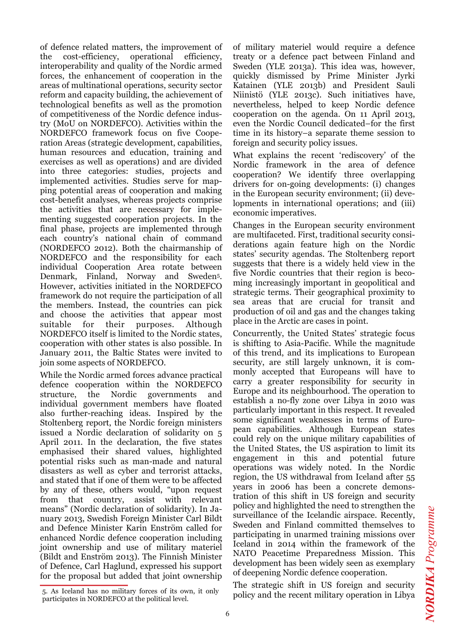of defence related matters, the improvement of the cost-efficiency, operational efficiency, interoperability and quality of the Nordic armed forces, the enhancement of cooperation in the areas of multinational operations, security sector reform and capacity building, the achievement of technological benefits as well as the promotion of competitiveness of the Nordic defence industry (MoU on NORDEFCO). Activities within the NORDEFCO framework focus on five Cooperation Areas (strategic development, capabilities, human resources and education, training and exercises as well as operations) and are divided into three categories: studies, projects and implemented activities. Studies serve for mapping potential areas of cooperation and making cost-benefit analyses, whereas projects comprise the activities that are necessary for implementing suggested cooperation projects. In the final phase, projects are implemented through each country's national chain of command (NORDEFCO 2012). Both the chairmanship of NORDEFCO and the responsibility for each individual Cooperation Area rotate between Denmark, Finland, Norway and Sweden5. However, activities initiated in the NORDEFCO framework do not require the participation of all the members. Instead, the countries can pick and choose the activities that appear most suitable for their purposes. Although NORDEFCO itself is limited to the Nordic states, cooperation with other states is also possible. In January 2011, the Baltic States were invited to join some aspects of NORDEFCO.

While the Nordic armed forces advance practical defence cooperation within the NORDEFCO structure, the Nordic governments and individual government members have floated also further-reaching ideas. Inspired by the Stoltenberg report, the Nordic foreign ministers issued a Nordic declaration of solidarity on 5 April 2011. In the declaration, the five states emphasised their shared values, highlighted potential risks such as man-made and natural disasters as well as cyber and terrorist attacks, and stated that if one of them were to be affected by any of these, others would, "upon request from that country, assist with relevant means" (Nordic declaration of solidarity). In January 2013, Swedish Foreign Minister Carl Bildt and Defence Minister Karin Enström called for enhanced Nordic defence cooperation including joint ownership and use of military materiel (Bildt and Enström 2013). The Finnish Minister of Defence, Carl Haglund, expressed his support for the proposal but added that joint ownership

5. As Iceland has no military forces of its own, it only participates in NORDEFCO at the political level.

of military materiel would require a defence treaty or a defence pact between Finland and Sweden (YLE 2013a). This idea was, however, quickly dismissed by Prime Minister Jyrki Katainen (YLE 2013b) and President Sauli Niinistö (YLE 2013c). Such initiatives have, nevertheless, helped to keep Nordic defence cooperation on the agenda. On 11 April 2013, even the Nordic Council dedicated–for the first time in its history–a separate theme session to foreign and security policy issues.

What explains the recent 'rediscovery' of the Nordic framework in the area of defence cooperation? We identify three overlapping drivers for on-going developments: (i) changes in the European security environment; (ii) developments in international operations; and (iii) economic imperatives.

Changes in the European security environment are multifaceted. First, traditional security considerations again feature high on the Nordic states' security agendas. The Stoltenberg report suggests that there is a widely held view in the five Nordic countries that their region is becoming increasingly important in geopolitical and strategic terms. Their geographical proximity to sea areas that are crucial for transit and production of oil and gas and the changes taking place in the Arctic are cases in point.

Concurrently, the United States' strategic focus is shifting to Asia-Pacific. While the magnitude of this trend, and its implications to European security, are still largely unknown, it is commonly accepted that Europeans will have to carry a greater responsibility for security in Europe and its neighbourhood. The operation to establish a no-fly zone over Libya in 2010 was particularly important in this respect. It revealed some significant weaknesses in terms of European capabilities. Although European states could rely on the unique military capabilities of the United States, the US aspiration to limit its engagement in this and potential future operations was widely noted. In the Nordic region, the US withdrawal from Iceland after 55 years in 2006 has been a concrete demonstration of this shift in US foreign and security policy and highlighted the need to strengthen the surveillance of the Icelandic airspace. Recently, Sweden and Finland committed themselves to participating in unarmed training missions over Iceland in 2014 within the framework of the NATO Peacetime Preparedness Mission. This development has been widely seen as exemplary of deepening Nordic defence cooperation.

The strategic shift in US foreign and security policy and the recent military operation in Libya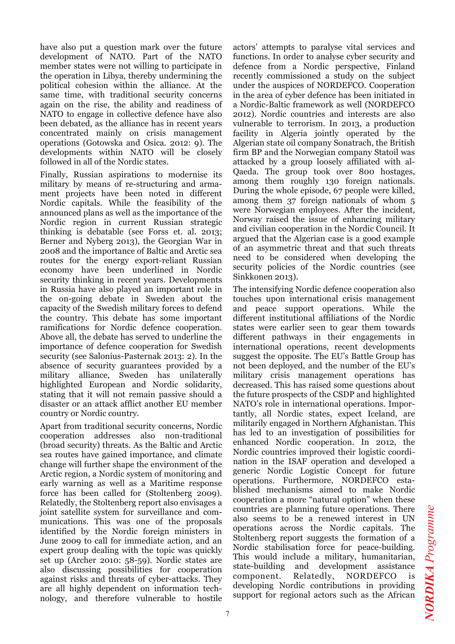have also put a question mark over the future development of NATO. Part of the NATO member states were not willing to participate in the operation in Libya, thereby undermining the political cohesion within the alliance. At the same time, with traditional security concerns again on the rise, the ability and readiness of NATO to engage in collective defence have also been debated, as the alliance has in recent years concentrated mainly on crisis management operations (Gotowska and Osica*.* 2012: 9). The developments within NATO will be closely followed in all of the Nordic states.

Finally, Russian aspirations to modernise its military by means of re-structuring and armament projects have been noted in different Nordic capitals. While the feasibility of the announced plans as well as the importance of the Nordic region in current Russian strategic thinking is debatable (see Forss et. al. 2013; Berner and Nyberg 2013), the Georgian War in 2008 and the importance of Baltic and Arctic sea routes for the energy export-reliant Russian economy have been underlined in Nordic security thinking in recent years. Developments in Russia have also played an important role in the on-going debate in Sweden about the capacity of the Swedish military forces to defend the country. This debate has some important ramifications for Nordic defence cooperation. Above all, the debate has served to underline the importance of defence cooperation for Swedish security (see Salonius-Pasternak 2013: 2). In the absence of security guarantees provided by a military alliance, Sweden has unilaterally highlighted European and Nordic solidarity, stating that it will not remain passive should a disaster or an attack afflict another EU member country or Nordic country.

Apart from traditional security concerns, Nordic cooperation addresses also non-traditional (broad security) threats. As the Baltic and Arctic sea routes have gained importance, and climate change will further shape the environment of the Arctic region, a Nordic system of monitoring and early warning as well as a Maritime response force has been called for (Stoltenberg 2009). Relatedly, the Stoltenberg report also envisages a joint satellite system for surveillance and communications. This was one of the proposals identified by the Nordic foreign ministers in June 2009 to call for immediate action, and an expert group dealing with the topic was quickly set up (Archer 2010: 58-59). Nordic states are also discussing possibilities for cooperation against risks and threats of cyber-attacks. They are all highly dependent on information technology, and therefore vulnerable to hostile

actors' attempts to paralyse vital services and functions. In order to analyse cyber security and defence from a Nordic perspective, Finland recently commissioned a study on the subject under the auspices of NORDEFCO. Cooperation in the area of cyber defence has been initiated in a Nordic-Baltic framework as well (NORDEFCO 2012). Nordic countries and interests are also vulnerable to terrorism. In 2013, a production facility in Algeria jointly operated by the Algerian state oil company Sonatrach, the British firm BP and the Norwegian company Statoil was attacked by a group loosely affiliated with al-Qaeda. The group took over 800 hostages, among them roughly 130 foreign nationals. During the whole episode, 67 people were killed, among them 37 foreign nationals of whom 5 were Norwegian employees. After the incident, Norway raised the issue of enhancing military and civilian cooperation in the Nordic Council. It argued that the Algerian case is a good example of an asymmetric threat and that such threats need to be considered when developing the security policies of the Nordic countries (see Sinkkonen 2013).

The intensifying Nordic defence cooperation also touches upon international crisis management and peace support operations. While the different institutional affiliations of the Nordic states were earlier seen to gear them towards different pathways in their engagements in international operations, recent developments suggest the opposite. The EU's Battle Group has not been deployed, and the number of the EU's military crisis management operations has decreased. This has raised some questions about the future prospects of the CSDP and highlighted NATO's role in international operations. Importantly, all Nordic states, expect Iceland, are militarily engaged in Northern Afghanistan. This has led to an investigation of possibilities for enhanced Nordic cooperation. In 2012, the Nordic countries improved their logistic coordination in the ISAF operation and developed a generic Nordic Logistic Concept for future operations. Furthermore, NORDEFCO established mechanisms aimed to make Nordic cooperation a more "natural option" when these countries are planning future operations. There also seems to be a renewed interest in UN operations across the Nordic capitals. The Stoltenberg report suggests the formation of a Nordic stabilisation force for peace-building. This would include a military, humanitarian, state-building and development assistance component. Relatedly, NORDEFCO is developing Nordic contributions in providing support for regional actors such as the African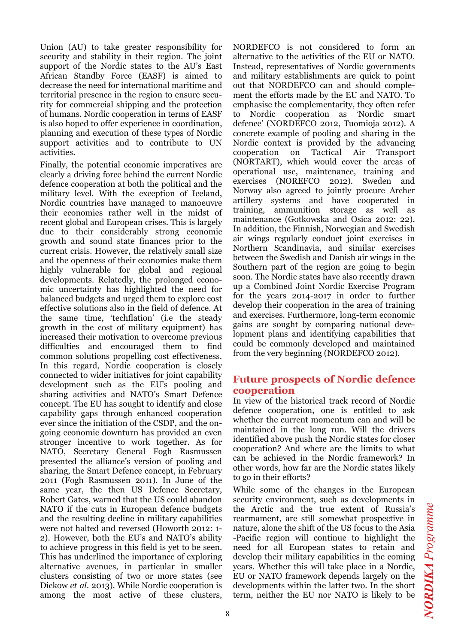Union (AU) to take greater responsibility for security and stability in their region. The joint support of the Nordic states to the AU's East African Standby Force (EASF) is aimed to decrease the need for international maritime and territorial presence in the region to ensure security for commercial shipping and the protection of humans. Nordic cooperation in terms of EASF is also hoped to offer experience in coordination, planning and execution of these types of Nordic support activities and to contribute to UN activities.

Finally, the potential economic imperatives are clearly a driving force behind the current Nordic defence cooperation at both the political and the military level. With the exception of Iceland, Nordic countries have managed to manoeuvre their economies rather well in the midst of recent global and European crises. This is largely due to their considerably strong economic growth and sound state finances prior to the current crisis. However, the relatively small size and the openness of their economies make them highly vulnerable for global and regional developments. Relatedly, the prolonged economic uncertainty has highlighted the need for balanced budgets and urged them to explore cost effective solutions also in the field of defence. At the same time, 'techflation' (i.e the steady growth in the cost of military equipment) has increased their motivation to overcome previous difficulties and encouraged them to find common solutions propelling cost effectiveness. In this regard, Nordic cooperation is closely connected to wider initiatives for joint capability development such as the EU's pooling and sharing activities and NATO's Smart Defence concept. The EU has sought to identify and close capability gaps through enhanced cooperation ever since the initiation of the CSDP, and the ongoing economic downturn has provided an even stronger incentive to work together. As for NATO, Secretary General Fogh Rasmussen presented the alliance's version of pooling and sharing, the Smart Defence concept, in February 2011 (Fogh Rasmussen 2011). In June of the same year, the then US Defence Secretary, Robert Gates, warned that the US could abandon NATO if the cuts in European defence budgets and the resulting decline in military capabilities were not halted and reversed (Howorth 2012: 1- 2). However, both the EU's and NATO's ability to achieve progress in this field is yet to be seen. This has underlined the importance of exploring alternative avenues, in particular in smaller clusters consisting of two or more states (see Dickow *et al.* 2013). While Nordic cooperation is among the most active of these clusters,

NORDEFCO is not considered to form an alternative to the activities of the EU or NATO. Instead, representatives of Nordic governments and military establishments are quick to point out that NORDEFCO can and should complement the efforts made by the EU and NATO. To emphasise the complementarity, they often refer to Nordic cooperation as 'Nordic smart defence' (NORDEFCO 2012, Tuomioja 2012). A concrete example of pooling and sharing in the Nordic context is provided by the advancing cooperation on Tactical Air Transport (NORTART), which would cover the areas of operational use, maintenance, training and exercises (NOREFCO 2012). Sweden and Norway also agreed to jointly procure Archer artillery systems and have cooperated in training, ammunition storage as well as maintenance (Gotkowska and Osica 2012: 22). In addition, the Finnish, Norwegian and Swedish air wings regularly conduct joint exercises in Northern Scandinavia, and similar exercises between the Swedish and Danish air wings in the Southern part of the region are going to begin soon. The Nordic states have also recently drawn up a Combined Joint Nordic Exercise Program for the years 2014-2017 in order to further develop their cooperation in the area of training and exercises. Furthermore, long-term economic gains are sought by comparing national development plans and identifying capabilities that could be commonly developed and maintained from the very beginning (NORDEFCO 2012).

#### **Future prospects of Nordic defence cooperation**

In view of the historical track record of Nordic defence cooperation, one is entitled to ask whether the current momentum can and will be maintained in the long run. Will the drivers identified above push the Nordic states for closer cooperation? And where are the limits to what can be achieved in the Nordic framework? In other words, how far are the Nordic states likely to go in their efforts?

While some of the changes in the European security environment, such as developments in the Arctic and the true extent of Russia's rearmament, are still somewhat prospective in nature, alone the shift of the US focus to the Asia -Pacific region will continue to highlight the need for all European states to retain and develop their military capabilities in the coming years. Whether this will take place in a Nordic, EU or NATO framework depends largely on the developments within the latter two. In the short term, neither the EU nor NATO is likely to be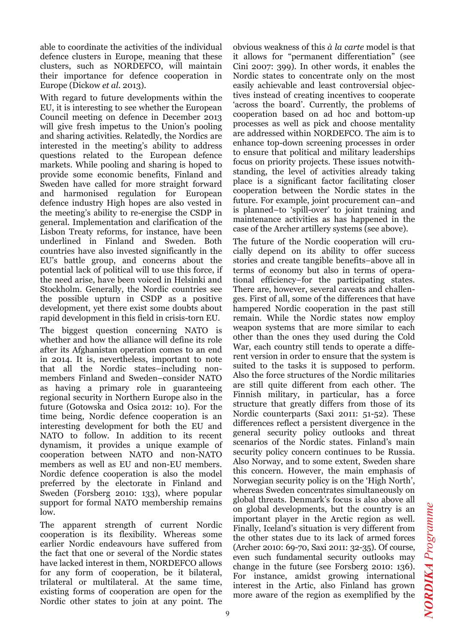able to coordinate the activities of the individual defence clusters in Europe, meaning that these clusters, such as NORDEFCO, will maintain their importance for defence cooperation in Europe (Dickow *et al.* 2013).

With regard to future developments within the EU, it is interesting to see whether the European Council meeting on defence in December 2013 will give fresh impetus to the Union's pooling and sharing activities. Relatedly, the Nordics are interested in the meeting's ability to address questions related to the European defence markets. While pooling and sharing is hoped to provide some economic benefits, Finland and Sweden have called for more straight forward and harmonised regulation for European defence industry High hopes are also vested in the meeting's ability to re-energise the CSDP in general. Implementation and clarification of the Lisbon Treaty reforms, for instance, have been underlined in Finland and Sweden. Both countries have also invested significantly in the EU's battle group, and concerns about the potential lack of political will to use this force, if the need arise, have been voiced in Helsinki and Stockholm. Generally, the Nordic countries see the possible upturn in CSDP as a positive development, yet there exist some doubts about rapid development in this field in crisis-torn EU.

The biggest question concerning NATO is whether and how the alliance will define its role after its Afghanistan operation comes to an end in 2014. It is, nevertheless, important to note that all the Nordic states–including nonmembers Finland and Sweden–consider NATO as having a primary role in guaranteeing regional security in Northern Europe also in the future (Gotowska and Osica 2012: 10). For the time being, Nordic defence cooperation is an interesting development for both the EU and NATO to follow. In addition to its recent dynamism, it provides a unique example of cooperation between NATO and non-NATO members as well as EU and non-EU members. Nordic defence cooperation is also the model preferred by the electorate in Finland and Sweden (Forsberg 2010: 133), where popular support for formal NATO membership remains low.

The apparent strength of current Nordic cooperation is its flexibility. Whereas some earlier Nordic endeavours have suffered from the fact that one or several of the Nordic states have lacked interest in them, NORDEFCO allows for any form of cooperation, be it bilateral, trilateral or multilateral. At the same time, existing forms of cooperation are open for the Nordic other states to join at any point. The

obvious weakness of this *à la carte* model is that it allows for "permanent differentiation" (see Cini 2007: 399). In other words, it enables the Nordic states to concentrate only on the most easily achievable and least controversial objectives instead of creating incentives to cooperate 'across the board'. Currently, the problems of cooperation based on ad hoc and bottom-up processes as well as pick and choose mentality are addressed within NORDEFCO. The aim is to enhance top-down screening processes in order to ensure that political and military leaderships focus on priority projects. These issues notwithstanding, the level of activities already taking place is a significant factor facilitating closer cooperation between the Nordic states in the future. For example, joint procurement can–and is planned–to 'spill-over' to joint training and maintenance activities as has happened in the case of the Archer artillery systems (see above).

The future of the Nordic cooperation will crucially depend on its ability to offer success stories and create tangible benefits–above all in terms of economy but also in terms of operational efficiency–for the participating states. There are, however, several caveats and challenges. First of all, some of the differences that have hampered Nordic cooperation in the past still remain. While the Nordic states now employ weapon systems that are more similar to each other than the ones they used during the Cold War, each country still tends to operate a different version in order to ensure that the system is suited to the tasks it is supposed to perform. Also the force structures of the Nordic militaries are still quite different from each other. The Finnish military, in particular, has a force structure that greatly differs from those of its Nordic counterparts (Saxi 2011: 51-52). These differences reflect a persistent divergence in the general security policy outlooks and threat scenarios of the Nordic states. Finland's main security policy concern continues to be Russia. Also Norway, and to some extent, Sweden share this concern. However, the main emphasis of Norwegian security policy is on the 'High North', whereas Sweden concentrates simultaneously on global threats. Denmark's focus is also above all on global developments, but the country is an important player in the Arctic region as well. Finally, Iceland's situation is very different from the other states due to its lack of armed forces (Archer 2010: 69-70, Saxi 2011: 32-35). Of course, even such fundamental security outlooks may change in the future (see Forsberg 2010: 136). For instance, amidst growing international interest in the Artic, also Finland has grown more aware of the region as exemplified by the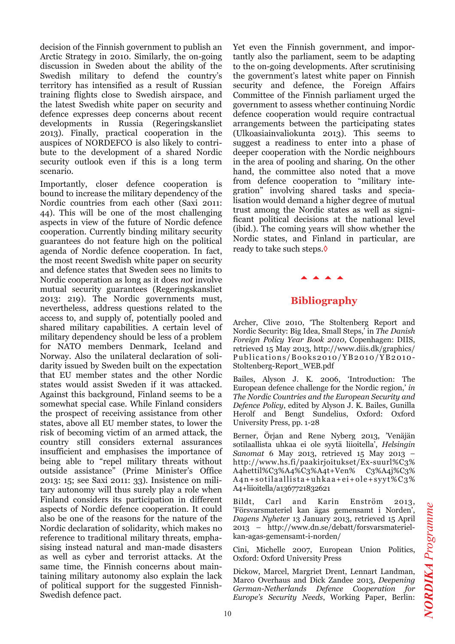decision of the Finnish government to publish an Arctic Strategy in 2010. Similarly, the on-going discussion in Sweden about the ability of the Swedish military to defend the country's territory has intensified as a result of Russian training flights close to Swedish airspace, and the latest Swedish white paper on security and defence expresses deep concerns about recent developments in Russia (Regeringskansliet 2013). Finally, practical cooperation in the auspices of NORDEFCO is also likely to contribute to the development of a shared Nordic security outlook even if this is a long term scenario.

Importantly, closer defence cooperation is bound to increase the military dependency of the Nordic countries from each other (Saxi 2011: 44). This will be one of the most challenging aspects in view of the future of Nordic defence cooperation. Currently binding military security guarantees do not feature high on the political agenda of Nordic defence cooperation. In fact, the most recent Swedish white paper on security and defence states that Sweden sees no limits to Nordic cooperation as long as it does *not* involve mutual security guarantees (Regeringskansliet 2013: 219). The Nordic governments must, nevertheless, address questions related to the access to, and supply of, potentially pooled and shared military capabilities. A certain level of military dependency should be less of a problem for NATO members Denmark, Iceland and Norway. Also the unilateral declaration of solidarity issued by Sweden built on the expectation that EU member states and the other Nordic states would assist Sweden if it was attacked. Against this background, Finland seems to be a somewhat special case. While Finland considers the prospect of receiving assistance from other states, above all EU member states, to lower the risk of becoming victim of an armed attack, the country still considers external assurances insufficient and emphasises the importance of being able to "repel military threats without outside assistance" (Prime Minister's Office 2013: 15; see Saxi 2011: 33). Insistence on military autonomy will thus surely play a role when Finland considers its participation in different aspects of Nordic defence cooperation. It could also be one of the reasons for the nature of the Nordic declaration of solidarity, which makes no reference to traditional military threats, emphasising instead natural and man-made disasters as well as cyber and terrorist attacks. At the same time, the Finnish concerns about maintaining military autonomy also explain the lack of political support for the suggested Finnish-Swedish defence pact.

Yet even the Finnish government, and importantly also the parliament, seem to be adapting to the on-going developments. After scrutinising the government's latest white paper on Finnish security and defence, the Foreign Affairs Committee of the Finnish parliament urged the government to assess whether continuing Nordic defence cooperation would require contractual arrangements between the participating states (Ulkoasiainvaliokunta 2013). This seems to suggest a readiness to enter into a phase of deeper cooperation with the Nordic neighbours in the area of pooling and sharing. On the other hand, the committee also noted that a move from defence cooperation to "military integration" involving shared tasks and specialisation would demand a higher degree of mutual trust among the Nordic states as well as significant political decisions at the national level (ibid.). The coming years will show whether the Nordic states, and Finland in particular, are ready to take such steps.◊

### **Bibliography**

aaaa

Archer, Clive 2010, 'The Stoltenberg Report and Nordic Security: Big Idea, Small Steps,' in *The Danish Foreign Policy Year Book 2010*, Copenhagen: DIIS, retrieved 15 May 2013, http://www.diis.dk/graphics/ Publications/Books2010/YB2010/YB2010- Stoltenberg-Report\_WEB.pdf

Bailes, Alyson J. K. 2006, 'Introduction: The European defence challenge for the Nordic region,' *in The Nordic Countries and the European Security and Defence Policy*, edited by Alyson J. K. Bailes, Gunilla Herolf and Bengt Sundelius, Oxford: Oxford University Press, pp. 1-28

Berner, Örjan and Rene Nyberg 2013, 'Venäjän sotilaallista uhkaa ei ole syytä liioitella', *Helsingin Sanomat* 6 May 2013, retrieved 15 May 2013 – http://www.hs.fi/paakirjoitukset/Ex-suurl%C3% A4hettil%C3%A4%C3%A4t+Ven% C3%A4j%C3% A4n+sotilaallista+uhkaa+ei+ole+syyt%C3% A4+liioitella/a1367721832621

Bildt, Carl and Karin Enström 2013, 'Försvarsmateriel kan ägas gemensamt i Norden', *Dagens Nyheter* 13 January 2013, retrieved 15 April 2013 – http://www.dn.se/debatt/forsvarsmaterielkan-agas-gemensamt-i-norden/

Cini, Michelle 2007, European Union Politics, Oxford: Oxford University Press

Dickow, Marcel, Margriet Drent, Lennart Landman, Marco Overhaus and Dick Zandee 2013, *Deepening German-Netherlands Defence Cooperation for Europe's Security Needs*, Working Paper, Berlin: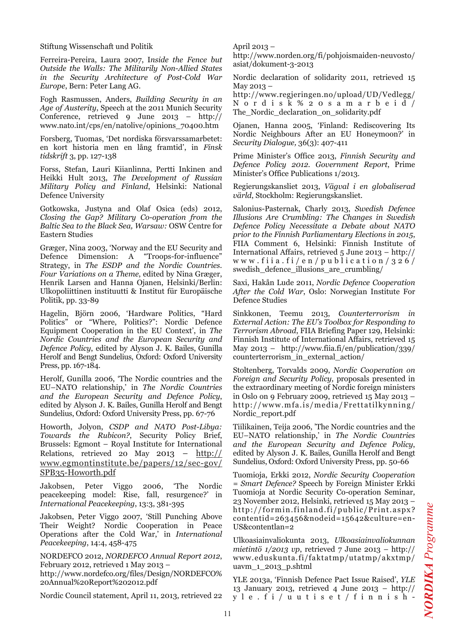Stiftung Wissenschaft und Politik

Ferreira-Pereira, Laura 2007, I*nside the Fence but Outside the Walls: The Militarily Non-Allied States in the Security Architecture of Post-Cold War Europe*, Bern: Peter Lang AG.

Fogh Rasmussen, Anders, *Building Security in an Age of Austerity*, Speech at the 2011 Munich Security Conference, retrieved 9 June 2013 – http:// www.nato.int/cps/en/natolive/opinions\_70400.htm

Forsberg, Tuomas, 'Det nordiska försvarssamarbetet: en kort historia men en lång framtid', in *Finsk tidskrift* 3, pp. 127-138

Forss, Stefan, Lauri Kiianlinna, Pertti Inkinen and Heikki Hult 2013, *The Development of Russian Military Policy and Finland*, Helsinki: National Defence University

Gotkowska, Justyna and Olaf Osica (eds) 2012, *Closing the Gap? Military Co-operation from the Baltic Sea to the Black Sea, Warsaw:* OSW Centre for Eastern Studies

Græger, Nina 2003, 'Norway and the EU Security and Defence Dimension: A "Troops-for-influence" Strategy, in *The ESDP and the Nordic Countries. Four Variations on a Theme*, edited by Nina Græger, Henrik Larsen and Hanna Ojanen, Helsinki/Berlin: Ulkopoliittinen instituutti & Institut für Europäische Politik, pp. 33-89

Hagelin, Björn 2006, 'Hardware Politics, "Hard Politics" or "Where, Politics?": Nordic Defence Equipment Cooperation in the EU Context', in *The Nordic Countries and the European Security and Defence Policy*, edited by Alyson J. K. Bailes, Gunilla Herolf and Bengt Sundelius, Oxford: Oxford University Press, pp. 167-184.

Herolf, Gunilla 2006, 'The Nordic countries and the EU–NATO relationship,' in *The Nordic Countries and the European Security and Defence Policy*, edited by Alyson J. K. Bailes, Gunilla Herolf and Bengt Sundelius, Oxford: Oxford University Press, pp. 67-76

Howorth, Jolyon, *CSDP and NATO Post-Libya: Towards the Rubicon?*, Security Policy Brief, Brussels: Egmont – Royal Institute for International Relations, retrieved 20 May 2013 –  $\frac{http://}{http://}$ www.egmontinstitute.be/papers/12/sec-gov/ SPB35-Howorth.pdf

Jakobsen, Peter Viggo 2006, 'The Nordic peacekeeping model: Rise, fall, resurgence?' in *International Peacekeeping*, 13:3, 381-395

Jakobsen, Peter Viggo 2007, 'Still Punching Above Their Weight? Nordic Cooperation in Peace Operations after the Cold War,' in *International Peacekeeping*, 14:4, 458-475

NORDEFCO 2012, *NORDEFCO Annual Report 2012*, February 2012, retrieved 1 May 2013 – http://www.nordefco.org/files/Design/NORDEFCO%

20Annual%20Report%202012.pdf

Nordic Council statement, April 11, 2013, retrieved 22

April 2013 –

http://www.norden.org/fi/pohjoismaiden-neuvosto/ asiat/dokument-3-2013

Nordic declaration of solidarity 2011, retrieved 15 May 2013 –

http://www.regjeringen.no/upload/UD/Vedlegg/ Nordisk%20samarbeid/ The\_Nordic\_declaration\_on\_solidarity.pdf

Ojanen, Hanna 2005, 'Finland: Rediscovering Its Nordic Neighbours After an EU Honeymoon?' in *Security Dialogue,* 36(3): 407-411

Prime Minister's Office 2013, *Finnish Security and Defence Policy 2012. Government Report*, Prime Minister's Office Publications 1/2013.

Regierungskansliet 2013, *Vägval i en globaliserad värld*, Stockholm: Regierungskansliet.

Salonius-Pasternak, Charly 2013, *Swedish Defence Illusions Are Crumbling: The Changes in Swedish Defence Policy Necessitate a Debate about NATO prior to the Finnish Parliamentary Elections in 2015*, FIIA Comment 6, Helsinki: Finnish Institute of International Affairs, retrieved 5 June 2013 – http:// www.fiia.fi/en/publication/326/ swedish\_defence\_illusions\_are\_crumbling/

Saxi, Hakån Lude 2011, *Nordic Defence Cooperation After the Cold War*, Oslo: Norwegian Institute For Defence Studies

Sinkkonen, Teemu 2013, *Counterterrorism in External Action: The EU's Toolbox for Responding to Terrorism Abroad*, FIIA Briefing Paper 129, Helsinki: Finnish Institute of International Affairs, retrieved 15 May 2013 – http://www.fiia.fi/en/publication/339/ counterterrorism\_in\_external\_action/

Stoltenberg, Torvalds 2009, *Nordic Cooperation on Foreign and Security Policy,* proposals presented in the extraordinary meeting of Nordic foreign ministers in Oslo on 9 February 2009, retrieved 15 May 2013 – http://www.mfa.is/media/Frettatilkynning/ Nordic\_report.pdf

Tiilikainen, Teija 2006, 'The Nordic countries and the EU–NATO relationship,' in *The Nordic Countries and the European Security and Defence Policy*, edited by Alyson J. K. Bailes, Gunilla Herolf and Bengt Sundelius, Oxford: Oxford University Press, pp. 50-66

Tuomioja, Erkki 2012, *Nordic Security Cooperation = Smart Defence?* Speech by Foreign Minister Erkki Tuomioja at Nordic Security Co-operation Seminar, 23 November 2012, Helsinki, retrieved 15 May 2013 – http://formin.finland.fi/public/Print.aspx? contentid=263456&nodeid=15642&culture=en-US&contentlan=2

Ulkoasiainvaliokunta 2013, *Ulkoasiainvaliokunnan mietintö 1/2013 vp*, retrieved 7 June 2013 – http:// www.eduskunta.fi/faktatmp/utatmp/akxtmp/ uavm\_1\_2013\_p.shtml

YLE 2013a, 'Finnish Defence Pact Issue Raised', *YLE* 13 January 2013, retrieved 4 June 2013 – http:// yle.fi/uutiset/finnish